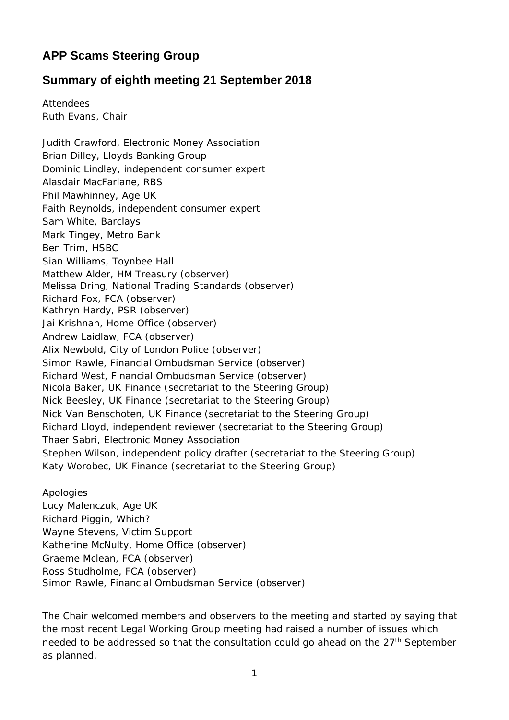## **APP Scams Steering Group**

## **Summary of eighth meeting 21 September 2018**

Attendees Ruth Evans, Chair

Judith Crawford, Electronic Money Association Brian Dilley, Lloyds Banking Group Dominic Lindley, independent consumer expert Alasdair MacFarlane, RBS Phil Mawhinney, Age UK Faith Reynolds, independent consumer expert Sam White, Barclays Mark Tingey, Metro Bank Ben Trim, HSBC Sian Williams, Toynbee Hall Matthew Alder, HM Treasury (observer) Melissa Dring, National Trading Standards (observer) Richard Fox, FCA (observer) Kathryn Hardy, PSR (observer) Jai Krishnan, Home Office (observer) Andrew Laidlaw, FCA (observer) Alix Newbold, City of London Police (observer) Simon Rawle, Financial Ombudsman Service (observer) Richard West, Financial Ombudsman Service (observer) Nicola Baker, UK Finance (secretariat to the Steering Group) Nick Beesley, UK Finance (secretariat to the Steering Group) Nick Van Benschoten, UK Finance (secretariat to the Steering Group) Richard Lloyd, independent reviewer (secretariat to the Steering Group) Thaer Sabri, Electronic Money Association Stephen Wilson, independent policy drafter (secretariat to the Steering Group) Katy Worobec, UK Finance (secretariat to the Steering Group)

Apologies

Lucy Malenczuk, Age UK Richard Piggin, Which? Wayne Stevens, Victim Support Katherine McNulty, Home Office (observer) Graeme Mclean, FCA (observer) Ross Studholme, FCA (observer) Simon Rawle, Financial Ombudsman Service (observer)

The Chair welcomed members and observers to the meeting and started by saying that the most recent Legal Working Group meeting had raised a number of issues which needed to be addressed so that the consultation could go ahead on the 27<sup>th</sup> September as planned.